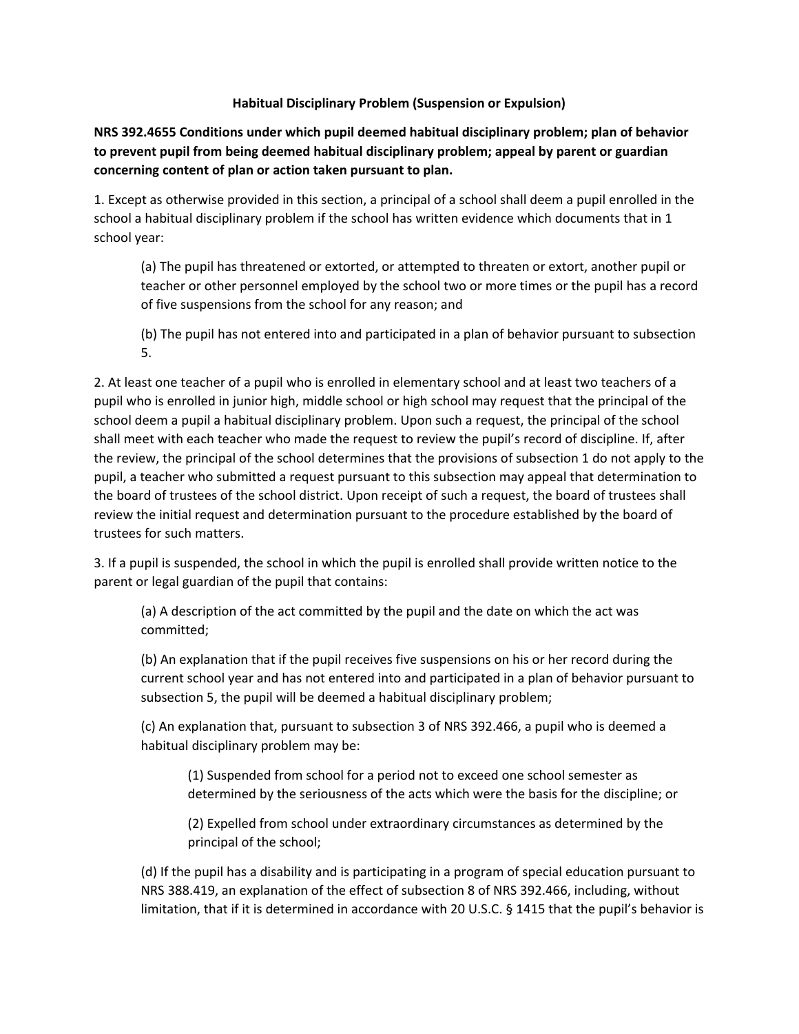## **Habitual Disciplinary Problem (Suspension or Expulsion)**

**NRS 392.4655 Conditions under which pupil deemed habitual disciplinary problem; plan of behavior to prevent pupil from being deemed habitual disciplinary problem; appeal by parent or guardian concerning content of plan or action taken pursuant to plan.**

1. Except as otherwise provided in this section, a principal of a school shall deem a pupil enrolled in the school a habitual disciplinary problem if the school has written evidence which documents that in 1 school year:

(a) The pupil has threatened or extorted, or attempted to threaten or extort, another pupil or teacher or other personnel employed by the school two or more times or the pupil has a record of five suspensions from the school for any reason; and

(b) The pupil has not entered into and participated in a plan of behavior pursuant to subsection 5.

2. At least one teacher of a pupil who is enrolled in elementary school and at least two teachers of a pupil who is enrolled in junior high, middle school or high school may request that the principal of the school deem a pupil a habitual disciplinary problem. Upon such a request, the principal of the school shall meet with each teacher who made the request to review the pupil's record of discipline. If, after the review, the principal of the school determines that the provisions of subsection 1 do not apply to the pupil, a teacher who submitted a request pursuant to this subsection may appeal that determination to the board of trustees of the school district. Upon receipt of such a request, the board of trustees shall review the initial request and determination pursuant to the procedure established by the board of trustees for such matters.

3. If a pupil is suspended, the school in which the pupil is enrolled shall provide written notice to the parent or legal guardian of the pupil that contains:

(a) A description of the act committed by the pupil and the date on which the act was committed;

(b) An explanation that if the pupil receives five suspensions on his or her record during the current school year and has not entered into and participated in a plan of behavior pursuant to subsection 5, the pupil will be deemed a habitual disciplinary problem;

(c) An explanation that, pursuant to subsection 3 of NRS 392.466, a pupil who is deemed a habitual disciplinary problem may be:

(1) Suspended from school for a period not to exceed one school semester as determined by the seriousness of the acts which were the basis for the discipline; or

(2) Expelled from school under extraordinary circumstances as determined by the principal of the school;

(d) If the pupil has a disability and is participating in a program of special education pursuant to NRS 388.419, an explanation of the effect of subsection 8 of NRS 392.466, including, without limitation, that if it is determined in accordance with 20 U.S.C. § 1415 that the pupil's behavior is